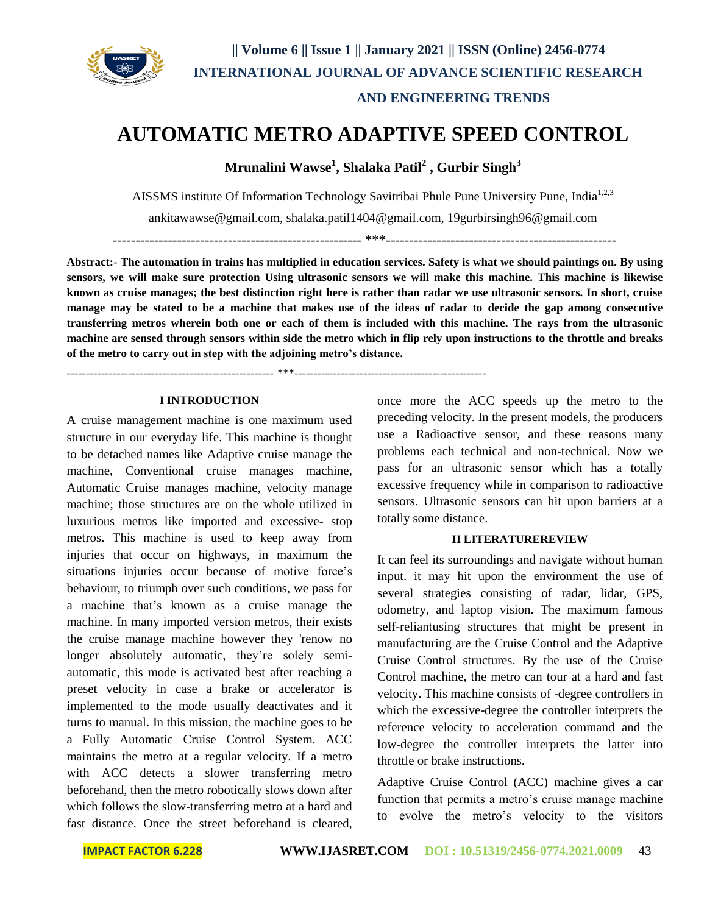

# **AUTOMATIC METRO ADAPTIVE SPEED CONTROL**

**Mrunalini Wawse<sup>1</sup> , Shalaka Patil<sup>2</sup> , Gurbir Singh<sup>3</sup>**

AISSMS institute Of Information Technology Savitribai Phule Pune University Pune, India<sup>1,2,3</sup>

[ankitawawse@gmail.com,](mailto:ankitawawse@gmail.com) [shalaka.patil1404@gmail.com,](mailto:shalaka.patil1404@gmail.com) 19gurbirsingh96@gmail.com

------------------------------------------------------ \*\*\*--------------------------------------------------

**Abstract:- The automation in trains has multiplied in education services. Safety is what we should paintings on. By using sensors, we will make sure protection Using ultrasonic sensors we will make this machine. This machine is likewise known as cruise manages; the best distinction right here is rather than radar we use ultrasonic sensors. In short, cruise manage may be stated to be a machine that makes use of the ideas of radar to decide the gap among consecutive transferring metros wherein both one or each of them is included with this machine. The rays from the ultrasonic machine are sensed through sensors within side the metro which in flip rely upon instructions to the throttle and breaks of the metro to carry out in step with the adjoining metro's distance.**

------------------------------------------------------ \*\*\*--------------------------------------------------

### **I INTRODUCTION**

A cruise management machine is one maximum used structure in our everyday life. This machine is thought to be detached names like Adaptive cruise manage the machine, Conventional cruise manages machine, Automatic Cruise manages machine, velocity manage machine; those structures are on the whole utilized in luxurious metros like imported and excessive- stop metros. This machine is used to keep away from injuries that occur on highways, in maximum the situations injuries occur because of motive force's behaviour, to triumph over such conditions, we pass for a machine that's known as a cruise manage the machine. In many imported version metros, their exists the cruise manage machine however they 'renow no longer absolutely automatic, they're solely semiautomatic, this mode is activated best after reaching a preset velocity in case a brake or accelerator is implemented to the mode usually deactivates and it turns to manual. In this mission, the machine goes to be a Fully Automatic Cruise Control System. ACC maintains the metro at a regular velocity. If a metro with ACC detects a slower transferring metro beforehand, then the metro robotically slows down after which follows the slow-transferring metro at a hard and fast distance. Once the street beforehand is cleared

once more the ACC speeds up the metro to the preceding velocity. In the present models, the producers use a Radioactive sensor, and these reasons many problems each technical and non-technical. Now we pass for an ultrasonic sensor which has a totally excessive frequency while in comparison to radioactive sensors. Ultrasonic sensors can hit upon barriers at a totally some distance.

#### **II LITERATUREREVIEW**

It can feel its surroundings and navigate without human input. it may hit upon the environment the use of several strategies consisting of radar, lidar, GPS, odometry, and laptop vision. The maximum famous self-reliantusing structures that might be present in manufacturing are the Cruise Control and the Adaptive Cruise Control structures. By the use of the Cruise Control machine, the metro can tour at a hard and fast velocity. This machine consists of -degree controllers in which the excessive-degree the controller interprets the reference velocity to acceleration command and the low-degree the controller interprets the latter into throttle or brake instructions.

Adaptive Cruise Control (ACC) machine gives a car function that permits a metro's cruise manage machine to evolve the metro's velocity to the visitors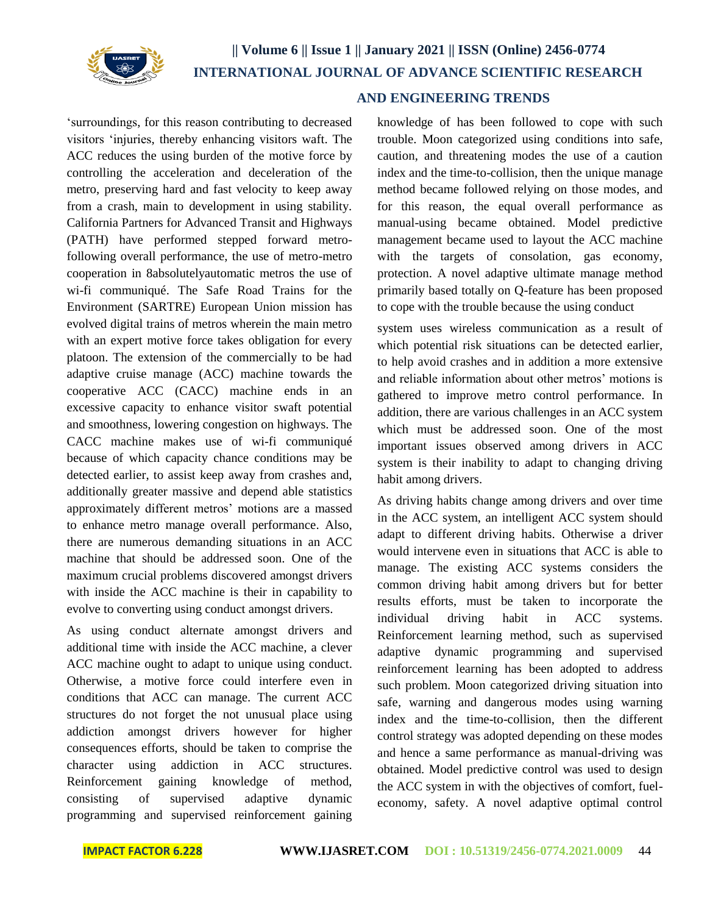

'surroundings, for this reason contributing to decreased visitors 'injuries, thereby enhancing visitors waft. The ACC reduces the using burden of the motive force by controlling the acceleration and deceleration of the metro, preserving hard and fast velocity to keep away from a crash, main to development in using stability. California Partners for Advanced Transit and Highways (PATH) have performed stepped forward metrofollowing overall performance, the use of metro-metro cooperation in 8absolutelyautomatic metros the use of wi-fi communiqué. The Safe Road Trains for the Environment (SARTRE) European Union mission has evolved digital trains of metros wherein the main metro with an expert motive force takes obligation for every platoon. The extension of the commercially to be had adaptive cruise manage (ACC) machine towards the cooperative ACC (CACC) machine ends in an excessive capacity to enhance visitor swaft potential and smoothness, lowering congestion on highways. The CACC machine makes use of wi-fi communiqué because of which capacity chance conditions may be detected earlier, to assist keep away from crashes and, additionally greater massive and depend able statistics approximately different metros' motions are a massed to enhance metro manage overall performance. Also, there are numerous demanding situations in an ACC machine that should be addressed soon. One of the maximum crucial problems discovered amongst drivers with inside the ACC machine is their in capability to evolve to converting using conduct amongst drivers.

As using conduct alternate amongst drivers and additional time with inside the ACC machine, a clever ACC machine ought to adapt to unique using conduct. Otherwise, a motive force could interfere even in conditions that ACC can manage. The current ACC structures do not forget the not unusual place using addiction amongst drivers however for higher consequences efforts, should be taken to comprise the character using addiction in ACC structures. Reinforcement gaining knowledge of method, consisting of supervised adaptive dynamic programming and supervised reinforcement gaining

## **AND ENGINEERING TRENDS**

knowledge of has been followed to cope with such trouble. Moon categorized using conditions into safe, caution, and threatening modes the use of a caution index and the time-to-collision, then the unique manage method became followed relying on those modes, and for this reason, the equal overall performance as manual-using became obtained. Model predictive management became used to layout the ACC machine with the targets of consolation, gas economy, protection. A novel adaptive ultimate manage method primarily based totally on Q-feature has been proposed to cope with the trouble because the using conduct

system uses wireless communication as a result of which potential risk situations can be detected earlier, to help avoid crashes and in addition a more extensive and reliable information about other metros' motions is gathered to improve metro control performance. In addition, there are various challenges in an ACC system which must be addressed soon. One of the most important issues observed among drivers in ACC system is their inability to adapt to changing driving habit among drivers.

As driving habits change among drivers and over time in the ACC system, an intelligent ACC system should adapt to different driving habits. Otherwise a driver would intervene even in situations that ACC is able to manage. The existing ACC systems considers the common driving habit among drivers but for better results efforts, must be taken to incorporate the individual driving habit in ACC systems. Reinforcement learning method, such as supervised adaptive dynamic programming and supervised reinforcement learning has been adopted to address such problem. Moon categorized driving situation into safe, warning and dangerous modes using warning index and the time-to-collision, then the different control strategy was adopted depending on these modes and hence a same performance as manual-driving was obtained. Model predictive control was used to design the ACC system in with the objectives of comfort, fueleconomy, safety. A novel adaptive optimal control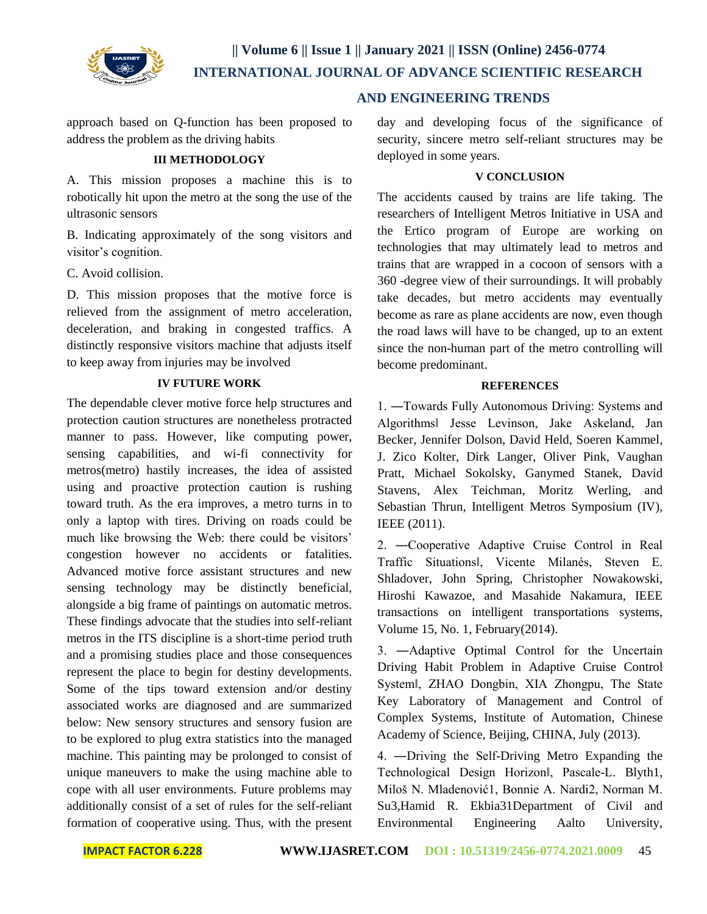

 **AND ENGINEERING TRENDS**

approach based on Q-function has been proposed to address the problem as the driving habits

#### **III METHODOLOGY**

A. This mission proposes a machine this is to robotically hit upon the metro at the song the use of the ultrasonic sensors

B. Indicating approximately of the song visitors and visitor's cognition.

C. Avoid collision.

D. This mission proposes that the motive force is relieved from the assignment of metro acceleration, deceleration, and braking in congested traffics. A distinctly responsive visitors machine that adjusts itself to keep away from injuries may be involved

## **IV FUTURE WORK**

The dependable clever motive force help structures and protection caution structures are nonetheless protracted manner to pass. However, like computing power, sensing capabilities, and wi-fi connectivity for metros(metro) hastily increases, the idea of assisted using and proactive protection caution is rushing toward truth. As the era improves, a metro turns in to only a laptop with tires. Driving on roads could be much like browsing the Web: there could be visitors' congestion however no accidents or fatalities. Advanced motive force assistant structures and new sensing technology may be distinctly beneficial, alongside a big frame of paintings on automatic metros. These findings advocate that the studies into self-reliant metros in the ITS discipline is a short-time period truth and a promising studies place and those consequences represent the place to begin for destiny developments. Some of the tips toward extension and/or destiny associated works are diagnosed and are summarized below: New sensory structures and sensory fusion are to be explored to plug extra statistics into the managed machine. This painting may be prolonged to consist of unique maneuvers to make the using machine able to cope with all user environments. Future problems may additionally consist of a set of rules for the self-reliant formation of cooperative using. Thus, with the present

day and developing focus of the significance of security, sincere metro self-reliant structures may be deployed in some years.

#### **V CONCLUSION**

The accidents caused by trains are life taking. The researchers of Intelligent Metros Initiative in USA and the Ertico program of Europe are working on technologies that may ultimately lead to metros and trains that are wrapped in a cocoon of sensors with a 360 -degree view of their surroundings. It will probably take decades, but metro accidents may eventually become as rare as plane accidents are now, even though the road laws will have to be changed, up to an extent since the non-human part of the metro controlling will become predominant.

#### **REFERENCES**

1. ―Towards Fully Autonomous Driving: Systems and Algorithms‖ Jesse Levinson, Jake Askeland, Jan Becker, Jennifer Dolson, David Held, Soeren Kammel, J. Zico Kolter, Dirk Langer, Oliver Pink, Vaughan Pratt, Michael Sokolsky, Ganymed Stanek, David Stavens, Alex Teichman, Moritz Werling, and Sebastian Thrun, Intelligent Metros Symposium (IV), IEEE (2011).

2. ―Cooperative Adaptive Cruise Control in Real Traffic Situations‖, Vicente Milanés, Steven E. Shladover, John Spring, Christopher Nowakowski, Hiroshi Kawazoe, and Masahide Nakamura, IEEE transactions on intelligent transportations systems, Volume 15, No. 1, February(2014).

3. ―Adaptive Optimal Control for the Uncertain Driving Habit Problem in Adaptive Cruise Control System‖, ZHAO Dongbin, XIA Zhongpu, The State Key Laboratory of Management and Control of Complex Systems, Institute of Automation, Chinese Academy of Science, Beijing, CHINA, July (2013).

4. ―Driving the Self-Driving Metro Expanding the Technological Design Horizon‖, Pascale-L. Blyth1, Miloš N. Mladenović1, Bonnie A. Nardi2, Norman M. Su3,Hamid R. Ekbia31Department of Civil and Environmental Engineering Aalto University,